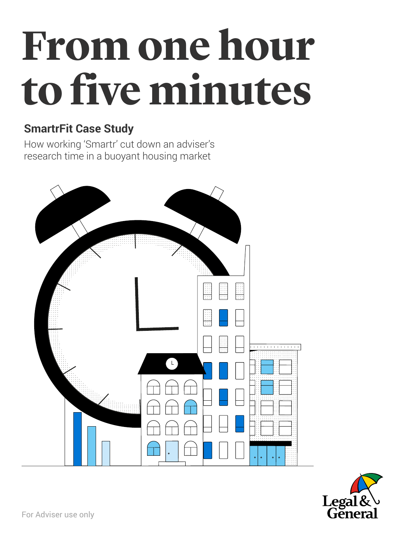# **From one hour to five minutes**

#### **SmartrFit Case Study**

How working 'Smartr' cut down an adviser's research time in a buoyant housing market





For Adviser use only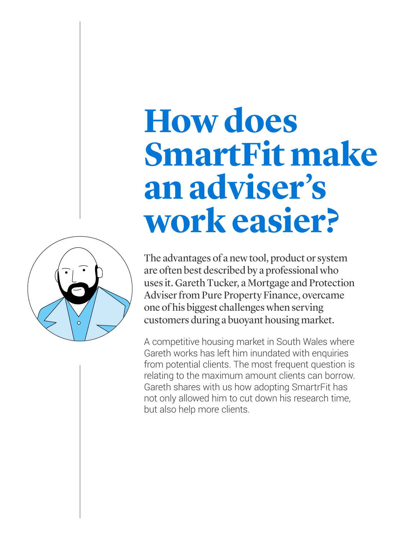The advantages of a new tool, product or system are often best described by a professional who uses it. Gareth Tucker, a Mortgage and Protection Adviser from Pure Property Finance, overcame one of his biggest challenges when serving customers during a buoyant housing market.

A competitive housing market in South Wales where Gareth works has left him inundated with enquiries from potential clients. The most frequent question is relating to the maximum amount clients can borrow. Gareth shares with us how adopting SmartrFit has not only allowed him to cut down his research time, but also help more clients.

### **How does SmartFit make an adviser's work easier?**

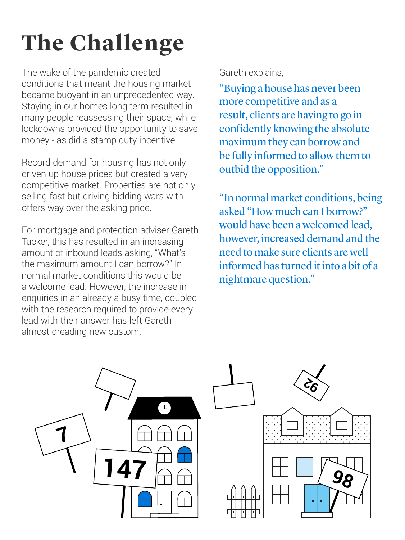### **The Challenge**

The wake of the pandemic created conditions that meant the housing market became buoyant in an unprecedented way. Staying in our homes long term resulted in many people reassessing their space, while lockdowns provided the opportunity to save money - as did a stamp duty incentive.

Record demand for housing has not only driven up house prices but created a very competitive market. Properties are not only selling fast but driving bidding wars with offers way over the asking price.

For mortgage and protection adviser Gareth Tucker, this has resulted in an increasing amount of inbound leads asking, "What's the maximum amount I can borrow?" In normal market conditions this would be a welcome lead. However, the increase in enquiries in an already a busy time, coupled with the research required to provide every lead with their answer has left Gareth almost dreading new custom.

#### Gareth explains,

"Buying a house has never been more competitive and as a result, clients are having to go in confidently knowing the absolute maximum they can borrow and be fully informed to allow them to outbid the opposition."

"In normal market conditions, being asked "How much can I borrow?" would have been a welcomed lead, however, increased demand and the need to make sure clients are well informed has turned it into a bit of a nightmare question."

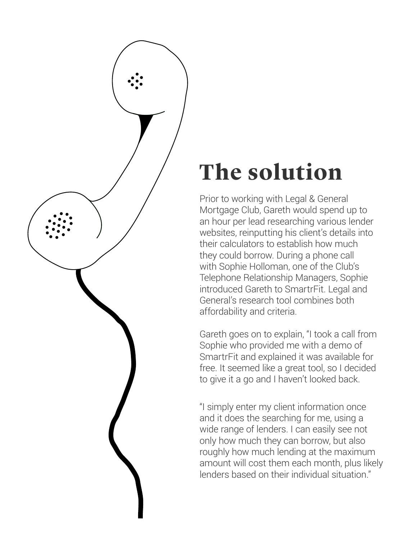

### **The solution**

Prior to working with Legal & General Mortgage Club, Gareth would spend up to an hour per lead researching various lender websites, reinputting his client's details into their calculators to establish how much they could borrow. During a phone call with Sophie Holloman, one of the Club's Telephone Relationship Managers, Sophie introduced Gareth to SmartrFit. Legal and General's research tool combines both affordability and criteria.

Gareth goes on to explain, "I took a call from Sophie who provided me with a demo of SmartrFit and explained it was available for free. It seemed like a great tool, so I decided to give it a go and I haven't looked back.

"I simply enter my client information once and it does the searching for me, using a

wide range of lenders. I can easily see not only how much they can borrow, but also roughly how much lending at the maximum amount will cost them each month, plus likely lenders based on their individual situation."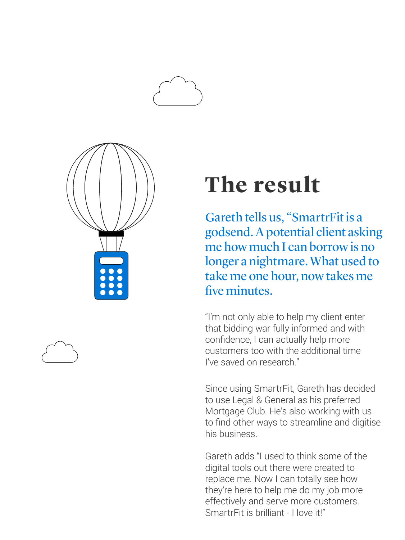



### **The result**

Gareth tells us, "SmartrFit is a godsend. A potential client asking me how much I can borrow is no longer a nightmare. What used to take me one hour, now takes me five minutes.

"I'm not only able to help my client enter that bidding war fully informed and with confidence, I can actually help more customers too with the additional time I've saved on research."

Since using SmartrFit, Gareth has decided to use Legal & General as his preferred Mortgage Club. He's also working with us to find other ways to streamline and digitise his business.

Gareth adds "I used to think some of the digital tools out there were created to replace me. Now I can totally see how they're here to help me do my job more effectively and serve more customers. SmartrFit is brilliant - I love it!"